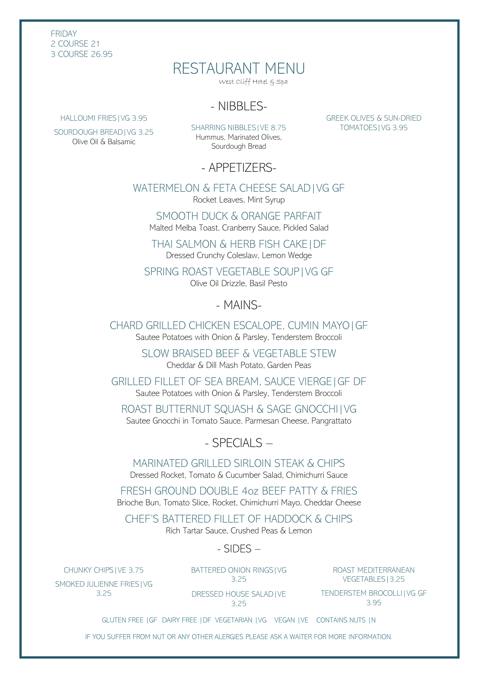FRIDAY 2 COURSE 21 3 COURSE 26.95

# RESTAURANT MENU

West Cliff Hotel & Spa

## - NIBBLES-

HALLOUMI FRIES|VG 3.95

SOURDOUGH BREAD|VG 3.25 Olive Oil & Balsamic

SHARRING NIBBLES|VE 8.75 Hummus, Marinated Olives, Sourdough Bread

GREEK OLIVES & SUN-DRIED TOMATOES|VG 3.95

- APPETIZERS-

WATERMELON & FETA CHEESE SALAD|VG GF Rocket Leaves, Mint Syrup

SMOOTH DUCK & ORANGE PARFAIT Malted Melba Toast, Cranberry Sauce, Pickled Salad

THAI SALMON & HERB FISH CAKE|DF Dressed Crunchy Coleslaw, Lemon Wedge

SPRING ROAST VEGETABLE SOUP|VG GF Olive Oil Drizzle, Basil Pesto

## - MAINS-

CHARD GRILLED CHICKEN ESCALOPE, CUMIN MAYO|GF Sautee Potatoes with Onion & Parsley, Tenderstem Broccoli

> SLOW BRAISED BEEF & VEGETABLE STEW Cheddar & Dill Mash Potato, Garden Peas

GRILLED FILLET OF SEA BREAM, SAUCE VIERGE|GF DF Sautee Potatoes with Onion & Parsley, Tenderstem Broccoli

ROAST BUTTERNUT SQUASH & SAGE GNOCCHI|VG Sautee Gnocchi in Tomato Sauce, Parmesan Cheese, Pangrattato

 $-$  SPECIALS  $-$ 

MARINATED GRILLED SIRLOIN STEAK & CHIPS Dressed Rocket, Tomato & Cucumber Salad, Chimichurri Sauce

FRESH GROUND DOUBLE 4oz BEEF PATTY & FRIES Brioche Bun, Tomato Slice, Rocket, Chimichurri Mayo, Cheddar Cheese

CHEF'S BATTERED FILLET OF HADDOCK & CHIPS Rich Tartar Sauce, Crushed Peas & Lemon

- SIDES –

CHUNKY CHIPS|VE 3.75 SMOKED JULIENNE FRIES|VG 3.25

BATTERED ONION RINGS|VG 3.25

ROAST MEDITERRANEAN VEGETABLES|3.25

DRESSED HOUSE SALAD|VE 3.25

TENDERSTEM BROCOLLI|VG GF 3.95

GLUTEN FREE |GF DAIRY FREE |DF VEGETARIAN |VG VEGAN |VE CONTAINS NUTS |N

IF YOU SUFFER FROM NUT OR ANY OTHER ALERGIES PLEASE ASK A WAITER FOR MORE INFORMATION.